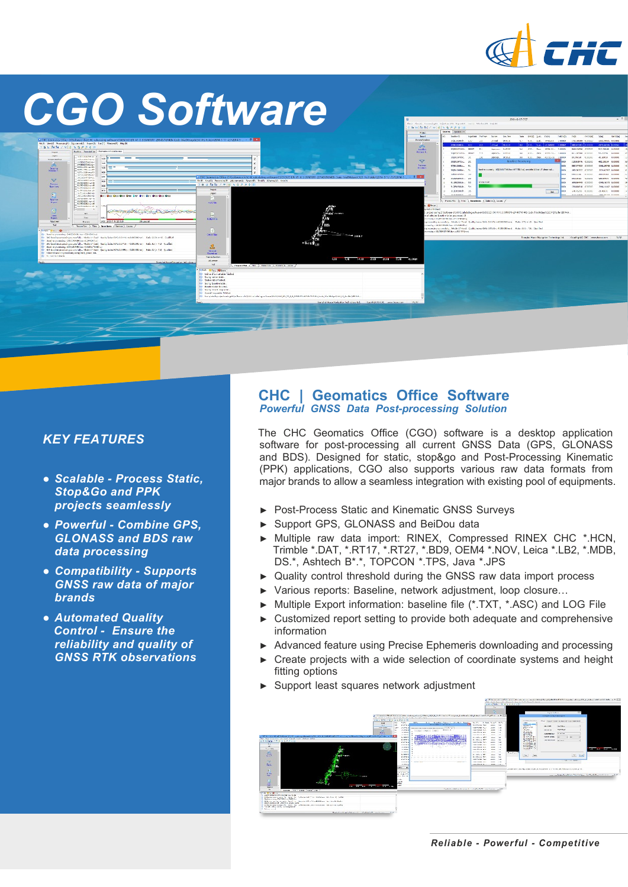

# *CGO Software*



### *KEY FEATURES*

- *● Scalable Process Static, Stop&Go and PPK projects seamlessly*
- *● Powerful Combine GPS, GLONASS and BDS raw data processing*
- *● Compatibility Supports GNSS raw data of major brands*
- *Automated Quality Control Ensure the reliability and quality of GNSS RTK observations*

#### **CHC | Geomatics Office Software Powerful GNSS Data Post-processing Solution**

The CHC Geomatics Office (CGO) software is a desktop application software for post-processing all current GNSS Data (GPS, GLONASS and BDS). Designed for static, stop&go and Post-Processing Kinematic (PPK) applications, CGO also supports various raw data formats from major brands to allow a seamless integration with existing pool of equipments.

- ► Post-Process Static and Kinematic GNSS Surveys
- ► Support GPS, GLONASS and BeiDou data
- ► Multiple raw data import: RINEX, Compressed RINEX CHC \*.HCN, Trimble \*.DAT, \*.RT17, \*.RT27, \*.BD9, OEM4 \*.NOV, Leica \*.LB2, \*.MDB, DS.\*, Ashtech B\*.\*, TOPCON \*.TPS, Java \*.JPS
- ► Quality control threshold during the GNSS raw data import process
- ► Various reports: Baseline, network adjustment, loop closure…
- ► Multiple Export information: baseline file (\*.TXT, \*.ASC) and LOG File
- ► Customized report setting to provide both adequate and comprehensive information
- ► Advanced feature using Precise Ephemeris downloading and processing
- Create projects with a wide selection of coordinate systems and height fitting options
- Support least squares network adjustment